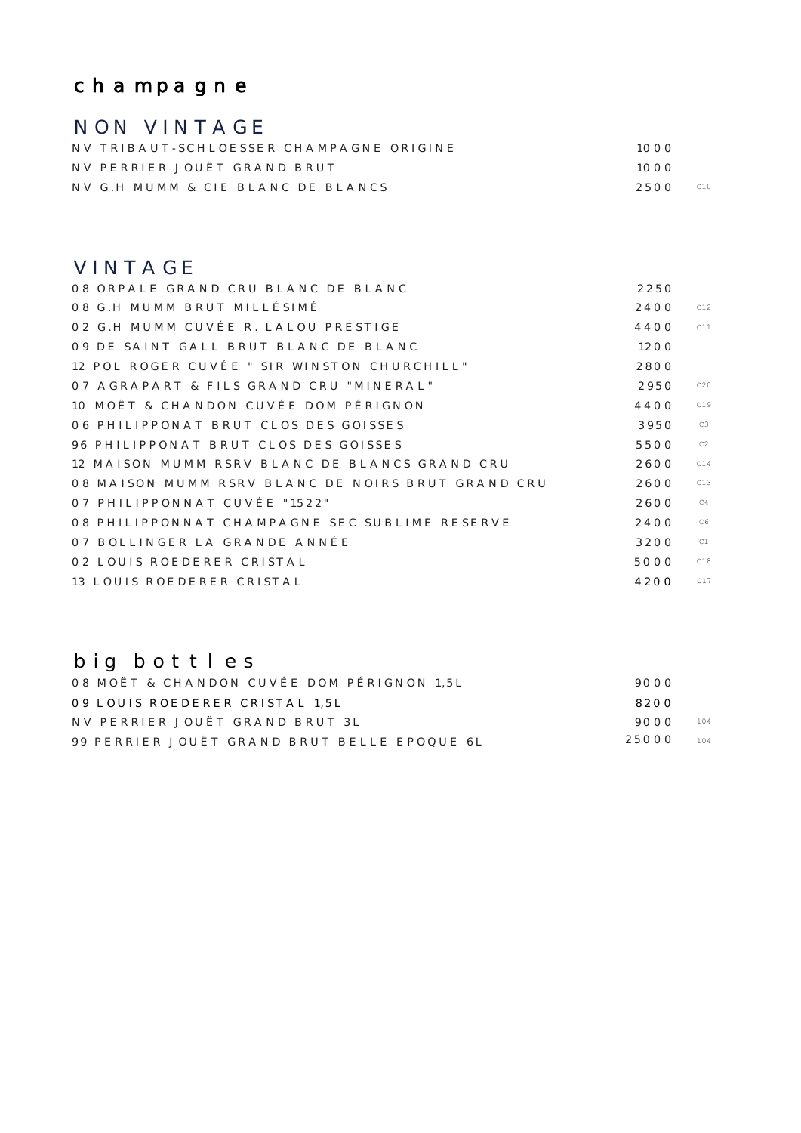## champagne

### NON VINTAGE

| NV TRIBAUT-SCHLOESSER CHAMPAGNE ORIGINE | 1000.  |     |
|-----------------------------------------|--------|-----|
| NV PERRIER JOUËT GRAND BRUT             | -1000- |     |
| NV G.H MUMM & CIE BLANC DE BLANCS       | 2500-  | C10 |

### VINTAGE

| O8 ORPALE GRAND CRU BLANC DE BLANC                | 2250 |     |
|---------------------------------------------------|------|-----|
| 08 G.H MUMM BRUT MILLÉSIMÉ                        | 2400 | C12 |
| 02 G.H MUMM CUVÉE R. LALOU PRESTIGE               | 4400 | C11 |
| O 9DE SAINT GALL BRUT BLANC DE BLANC              | 1200 |     |
| 12 POL ROGER CUVÉE " SIR WINSTON CHURCHILL"       | 2800 |     |
| O 7 A GRAPART & FILS GRAND CRU "MINERAL"          | 2950 | C20 |
| 10 MOËT & CHANDON CUVÉE DOM PÉRIGNON              | 4400 | C19 |
| 06 PHILIPPONAT BRUT CLOS DES GOISSES              | 395O | C3  |
| 96 PHILIPPONAT BRUT CLOS DES GOISSES              | 5500 | C2  |
| 12 MAISON MUMM RSRV BLANC DE BLANCS GRAND CRU     | 2600 | C14 |
| O 8MAISON MUMM RSRV BLANC DE NOIRS BRUT GRAND CRU | 2600 | C13 |
| O7 PHILIPPONNAT CUVÉE "1522"                      | 2600 | C4  |
| O8 PHILIPPONNAT CHAMPAGNE SEC SUBLIME RESERVE     | 2400 | C6  |
| O7 BOLLINGER LA GRANDE ANNÉE                      | 3200 | C1  |
| 02 LOUIS ROEDERER CRISTAL                         | 5000 | C18 |
| 13 LOUIS ROEDERER CRISTAL                         | 4200 | C17 |
|                                                   |      |     |

## big bottles

| O8 MOËT & CHANDON CUVÉE DOM PÉRIGNON 1.5L   | 9000       |  |
|---------------------------------------------|------------|--|
| 09 LOUIS ROEDERER CRISTAL 1.5L              | -8200-     |  |
| NV PERRIER JOUËT GRAND BRUT 3L              | 9000 $104$ |  |
| 99 PERRIER JOUËT GRAND BRUT BELLE EPOQUE 6L | 25000 104  |  |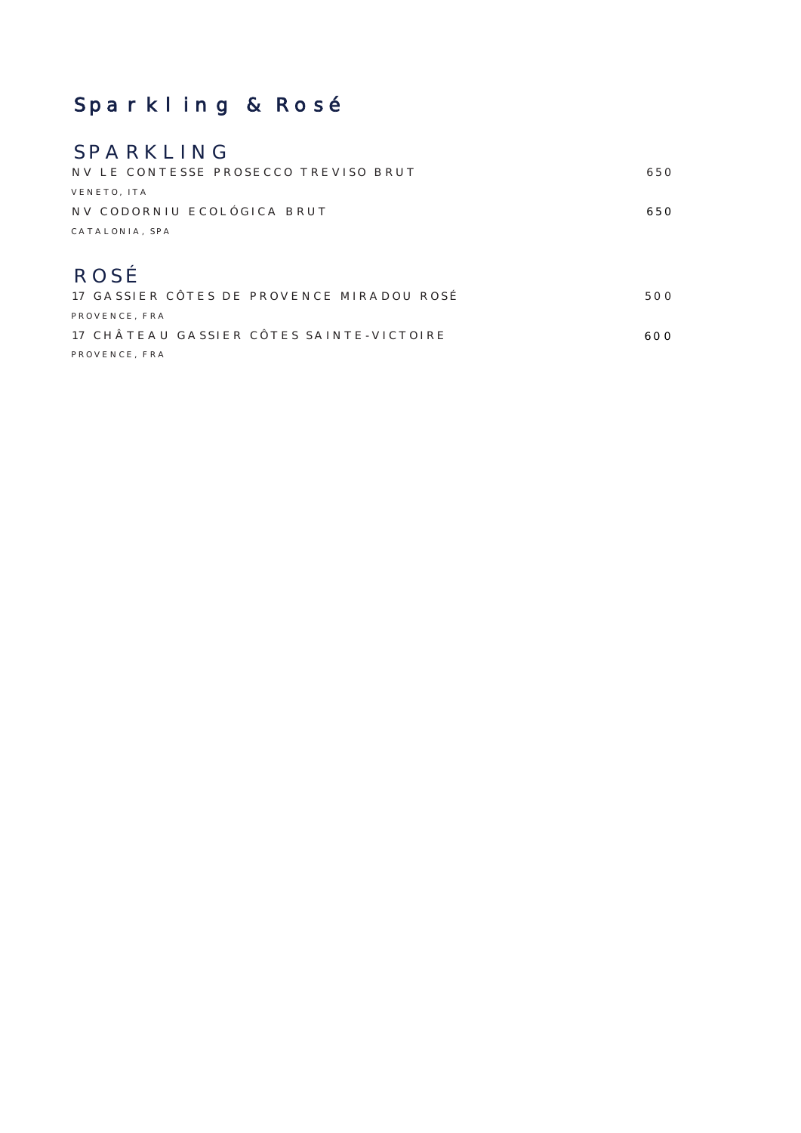# Sparkling & Rosé

## SPARKLING

| NV LE CONTESSE PROSECCO TREVISO BRUT | 650 |
|--------------------------------------|-----|
| VENETO, ITA                          |     |
| NV CODORNIU ECOLÓGICA BRUT           | 650 |
| CATALONIA, SPA                       |     |
|                                      |     |

## ROSÉ

| 17 GASSIER CÔTES DE PROVENCE MIRADOU ROSÉ | 500 |
|-------------------------------------------|-----|
| PROVENCE, FRA                             |     |
| 17 CHÂTFAU GASSIER CÔTES SAINTE-VICTOIRE  | റററ |
| PROVENCE, FRA                             |     |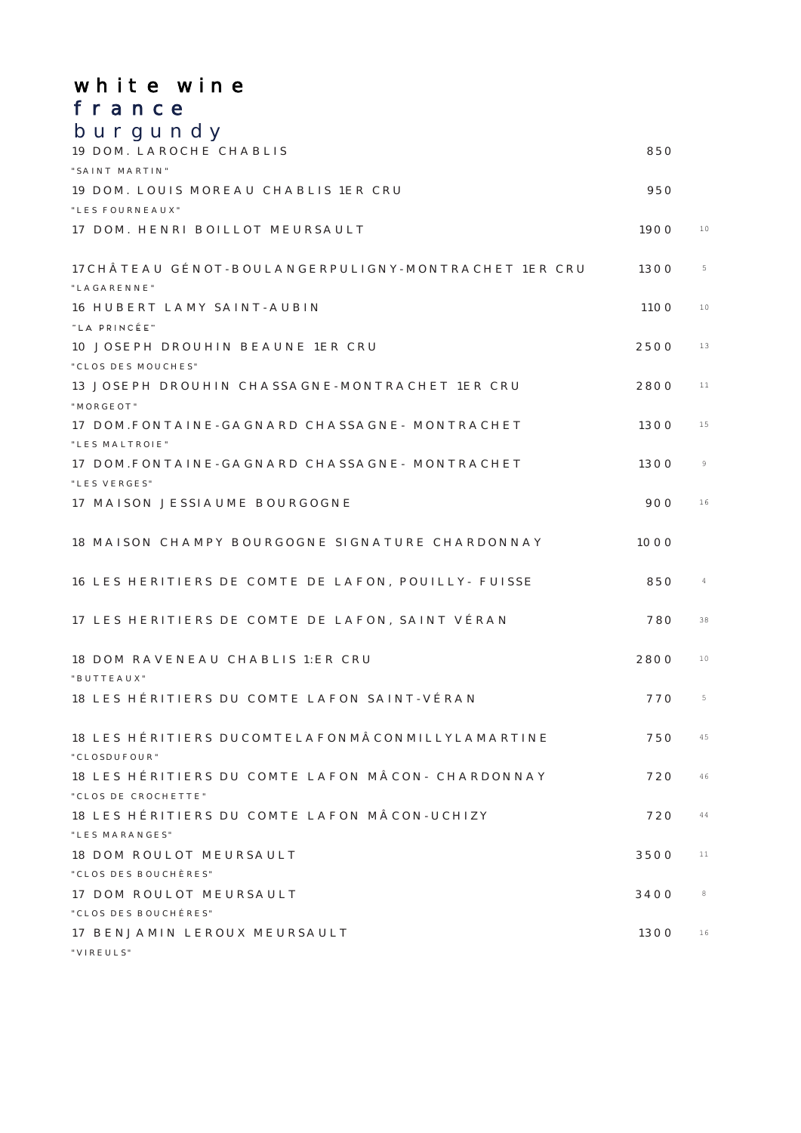#### white wine france burgundy

| 19 DOM. LAROCHE CHABLIS                                                  | 850         |                |
|--------------------------------------------------------------------------|-------------|----------------|
| "SAINT MARTIN"                                                           |             |                |
| 19 DOM. LOUIS MOREAU CHABLIS 1ER CRU<br>"LES FOURNEAUX"                  | <b>950</b>  |                |
| 17 DOM. HENRI BOILLOT MEURSAULT                                          | 1900        | 10             |
| 17CHÂTEAU GÉNOT-BOULANGERPULIGNY-MONTRACHET 1ER CRU<br>"LAGARENNE"       | 1300        | 5              |
| 16 HUBERT LAMY SAINT-AUBIN<br>"LA PRINCÉE"                               | <b>1100</b> | $10$           |
| 10 JOSEPH DROUHIN BEAUNE 1ER CRU<br>"CLOS DES MOUCHES"                   | 2500        | 13             |
| 13 JOSEPH DROUHIN CHASSAGNE-MONTRACHET 1ER CRU<br>"MORGEOT"              | 2800        | 11             |
| 17 DOM. FONTAINE-GAGNARD CHASSAGNE - MONTRACHET<br>"LES MALTROIE"        | 1300        | 15             |
| 17 DOM. FONTAINE-GAGNARD CHASSAGNE - MONTRACHET<br>"LES VERGES"          | 1300        | 9              |
| 17 MAISON JESSIAUME BOURGOGNE                                            | 900         | 16             |
| 18 MAISON CHAMPY BOURGOGNE SIGNATURE CHARDONNAY                          | 1000        |                |
| 16 LES HERITIERS DE COMTE DE LAFON, POUILLY- FUISSE                      | 85O         | $\overline{4}$ |
| 17 LES HERITIERS DE COMTE DE LAFON, SAINT VÉRAN                          | 78O         | 38             |
| 18 DOM RAVENEAU CHABLIS 1:ER CRU<br>"BUTTEAUX"                           | 2800        | 10             |
| 18 LES HÉRITIERS DU COMTE LAFON SAINT-VÉRAN                              | 77O         | 5              |
| 18 LES HÉRITIERS DUCOMTELA FONMÂ CONMILLYLA MA RTINE<br>"CLOSDUFOUR"     | 750         | 45             |
| 18 LES HÉRITIERS DU COMTE LAFON MÂCON- CHARDONNAY<br>"CLOS DE CROCHETTE" | 720         | 46             |
| 18 LES HÉRITIERS DU COMTE LAFON MÃCON-UCHIZY<br>"LES MARANGES"           | 720         | 44             |
| 18 DOM ROULOT MEURSAULT<br>"CLOS DES BOUCHÈRES"                          | 3500        | 11             |
| 17 DOM ROULOT MEURSAULT                                                  | 3400        | 8              |
| "CLOS DES BOUCHÉRES"<br>17 BENJAMIN LEROUX MEURSAULT<br>"VIREULS"        | 1300        | 16             |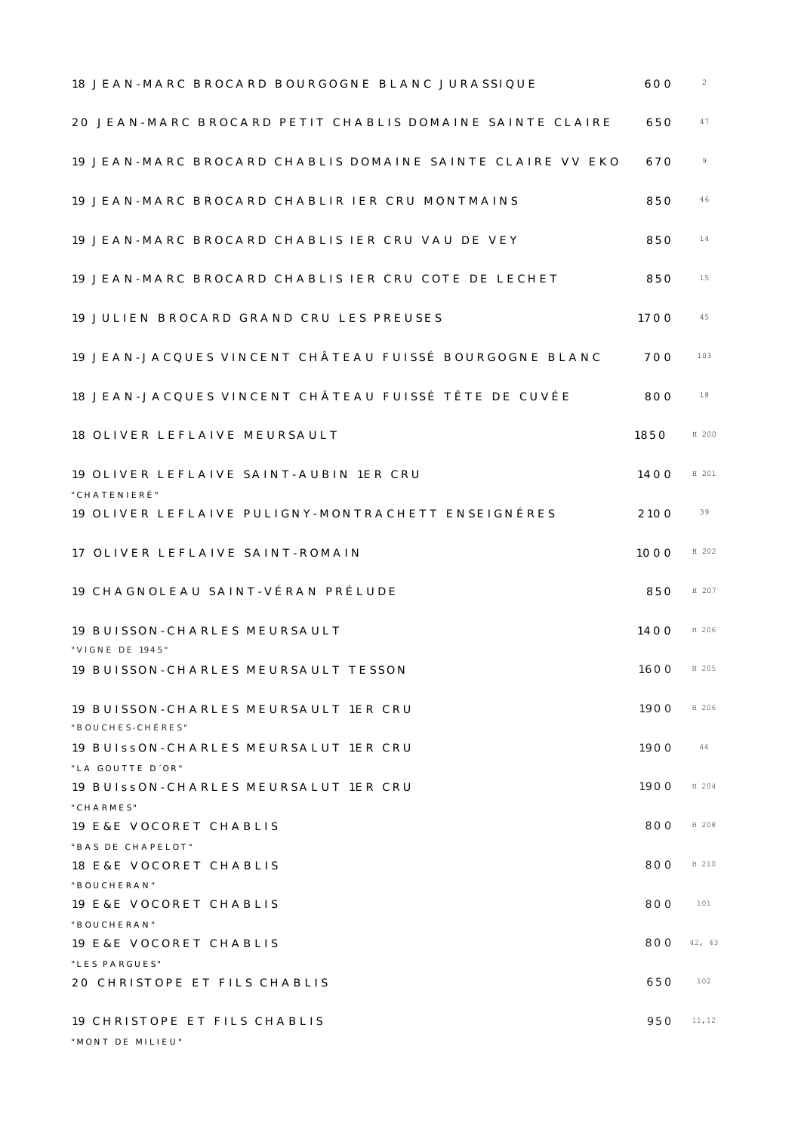| 18 JEAN-MARC BROCARD BOURGOGNE BLANC JURASSIQUE                    | 600         | 2      |
|--------------------------------------------------------------------|-------------|--------|
| 20 JEAN-MARC BROCARD PETIT CHABLIS DOMAINE SAINTE CLAIRE           | 650         | 47     |
| 19 JEAN-MARC BROCARD CHABLIS DOMAINE SAINTE CLAIRE VV EKC          | 67Q         | 9      |
| 19 JEAN-MARC BROCARD CHABLIR IER CRU MONTMAINS                     | 850         | 46     |
| 19 JEAN-MARC BROCARD CHABLIS IER CRU VAU DE VEY                    | 85O         | 14     |
| 19 JEAN-MARC BROCARD CHABLIS IER CRU COTE DE LECHET                | 850         | 15     |
| 19 JULIEN BROCARD GRAND CRU LES PREUSES                            | 1700        | 45     |
| 19 JEAN-JACQUES VINCENT CHÂTEAU FUISSÉ BOURGOGNE BLANC             | 700         | 103    |
| 18 JEAN-JACQUES VINCENT CHÂTEAU FUISSÉ TÊTE DE CUVÉE               | 800         | 18     |
| 18 OLIVER LEFLAIVE MEURSAULT                                       | 185O        | H 200  |
| 19 OLIVER LEFLAIVE SAINT-AUBIN 1ER CRU                             | 14OO        | H 201  |
| "CHATENIERÉ"<br>19 OLIVER LEFLAIVE PULIGNY-MONTRACHETT ENSEIGNÉRES | 2100        | 39     |
| 17 OLIVER LEFLAIVE SAINT-ROMAIN                                    | 1000        | H 202  |
| 19 CHAGNOLEAU SAINT-VÉRAN PRÉLUDE                                  | 850         | H 207  |
| 19 BUISSON-CHARLES MEURSAULT<br>"VIGNE DE 1945"                    | <b>1400</b> | H 206  |
| 19 BUISSON-CHARLES MEURSAULT TESSON                                | 1600        | H 205  |
| 19 BUISSON-CHARLES MEURSAULT 1ER CRU<br>"BOUCHES-CHÉRES"           | 1900        | H 206  |
| 19 BUISSON-CHARLES MEURSALUT 1ER CRU                               | 1900        | 44     |
| "LA GOUTTE D'OR"<br>19 BUISSON-CHARLES MEURSALUT 1ER CRU           | 1900        | H 204  |
| "CHARMES"<br>19 E&E VOCORET CHABLIS                                | 800         | H 208  |
| "BAS DE CHAPELOT"<br>18 E&E VOCORET CHABLIS                        | 800         | H 210  |
| "BOUCHERAN"<br>19 E&E VOCORET CHABLIS                              | 800         | 101    |
| "BOUCHERAN"<br>19 E&E VOCORET CHABLIS                              | 800         | 42, 43 |
| "LES PARGUES"<br>20 CHRISTOPE ET FILS CHABLIS                      | 650         | 102    |
| 19 CHRISTOPE ET FILS CHABLIS<br>"MONT DE MILIEU"                   | 95O         | 11,12  |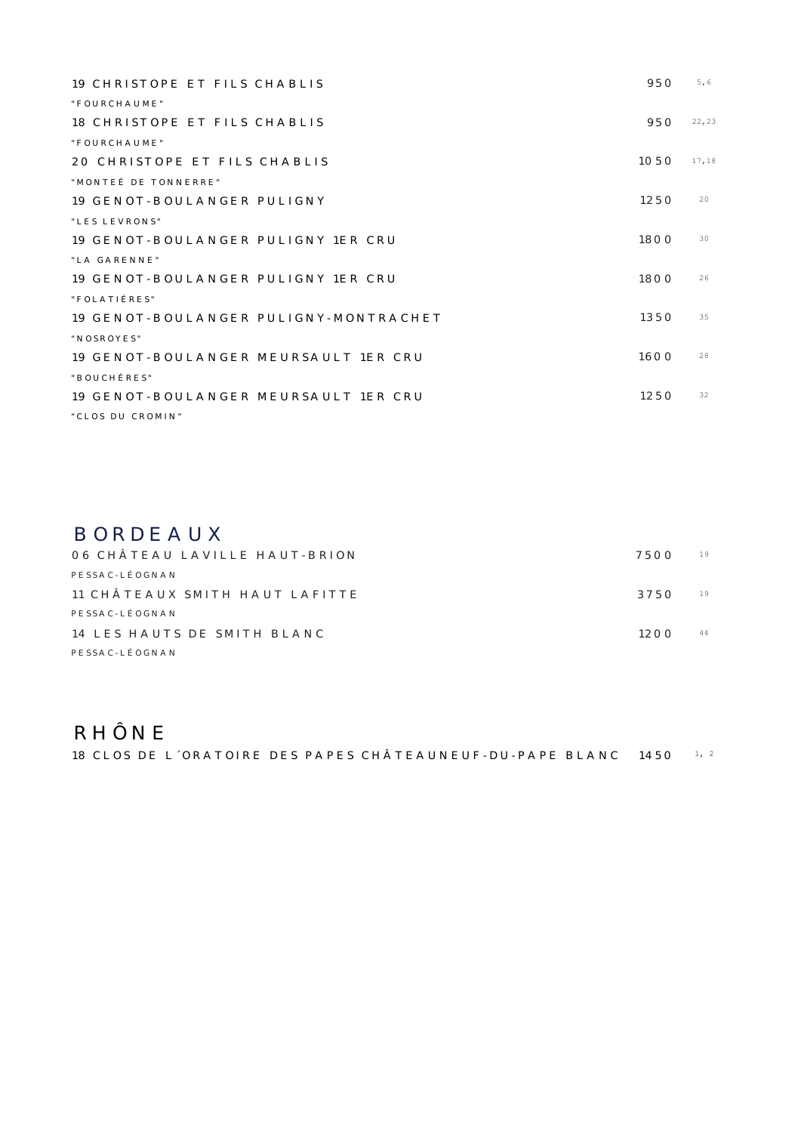| 19 CHRISTOPE ET FILS CHABLIS          | 950  | 5,6   |
|---------------------------------------|------|-------|
| "FOURCHAUME"                          |      |       |
| 18 CHRISTOPE ET FILS CHABLIS          | 950  | 22,23 |
| "FOURCHAUME"                          |      |       |
| 20 CHRISTOPE ET FILS CHABLIS          | 1050 | 17,18 |
| "MONTEÉ DE TONNERRE"                  |      |       |
| 19 GENOT-BOULANGER PULIGNY            | 1250 | 20    |
| "LES LEVRONS"                         |      |       |
| 19 GENOT-BOULANGER PULIGNY 1ER CRU    | 1800 | 30    |
| "LA GARENNE"                          |      |       |
| 19 GENOT-BOULANGER PULIGNY 1ER CRU    | 1800 | 26    |
| "FOLATIÉRES"                          |      |       |
| 19 GENOT-BOULANGER PULLGNY-MONTRACHET | 1350 | 35    |
| "NOSROYES"                            |      |       |
| 19 GENOT-BOULANGER MEURSAULT 1ER CRU  | 1600 | 28    |
| "BOUCHÉRES"                           |      |       |
| 19 GENOT-BOULANGER MEURSAULT 1ER CRU  | 1250 | 32    |
| "CLOS DU CROMIN"                      |      |       |

#### BORDEAUX

| O6 CHÂTEAU LAVILLE HAUT-BRION  | 7500 | 19 |
|--------------------------------|------|----|
| PFSSAC-LÉOGNAN                 |      |    |
| 11 CHÂTEAUX SMITH HAUT LAFITTE | 3750 | 19 |
| PESSAC-LÉOGNAN                 |      |    |
| 14 LES HAUTS DE SMITH BLANC    | 1200 | 44 |
| PESSAC-LÉOGNAN                 |      |    |

### RHÔNE

18 CLOS DE L'ORATOIRE DES PAPES CHÂTEAUNEUF-DU-PAPE BLANC 1450 1, 2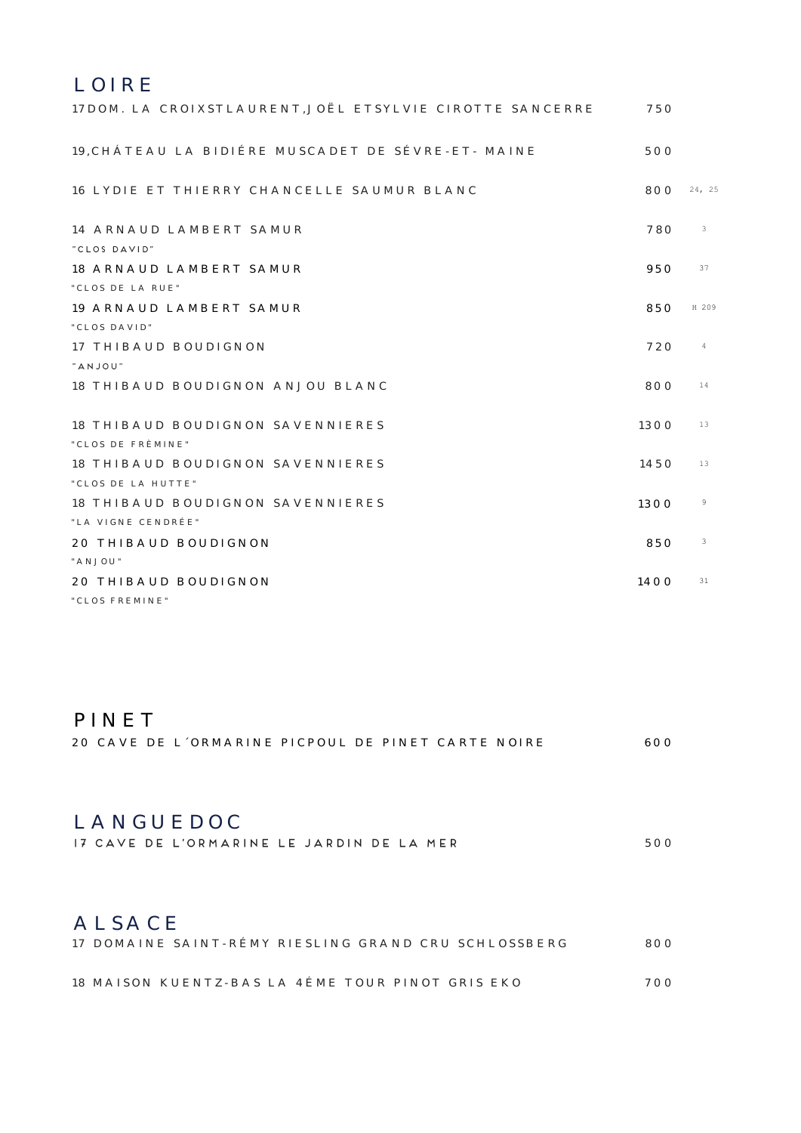| LOIRE                                                    |             |        |
|----------------------------------------------------------|-------------|--------|
| 17DOM. LA CROIXSTLAURENT, JOËL ETSYLVIE CIROTTE SANCERRE | 750         |        |
| 19. CHÁTEAU LA BIDIÉRE MUSCADET DE SÉVRE-ET-MAINE        | 500         |        |
| 16 LYDIE ET THIERRY CHANCELLE SAUMUR BLANC               | 800         | 24, 25 |
| 14 ARNAUD LAMBERT SAMUR<br>"CLOS DAVID"                  | <b>780</b>  | 3      |
| 18 ARNAUD LAMBERT SAMUR<br>"CLOS DE LA RUE"              | <b>950</b>  | 37     |
| 19 ARNAUD LAMBERT SAMUR<br>"CLOS DAVID"                  | 850         | H 209  |
| 17 THIBAUD BOUDIGNON<br>"ANJOU"                          | 720         | 4      |
| 18 THIBAUD BOUDIGNON ANJOU BLANC                         | 800         | 14     |
| 18 THIBAUD BOUDIGNON SAVENNIERES<br>"CLOS DE FRÈMINE"    | 1300        | 13     |
| 18 THIBAUD BOUDIGNON SAVENNIERES<br>"CLOS DE LA HUTTE"   | 1450        | 13     |
| 18 THIBAUD BOUDIGNON SAVENNIERES<br>"LA VIGNE CENDRÉE"   | 1300        | 9      |
| <b>20 THIBAUD BOUDIGNON</b><br>"ANJOU"                   | 850         | 3      |
| <b>20 THIBAUD BOUDIGNON</b><br>"CLOS FREMINE"            | <b>1400</b> | 31     |

### PINET

|  | 20 CAVE DE L'ORMARINE PICPOUL DE PINET CARTE NOIRE |  |  |  | 600 |
|--|----------------------------------------------------|--|--|--|-----|
|  |                                                    |  |  |  |     |

### LANGUEDOC

|  | 17 CAVE DE L'ORMARINE LE JARDIN DE LA MER |  |  |
|--|-------------------------------------------|--|--|
|  |                                           |  |  |

### ALSACE

|  |                                                  |  | 17 DOMAINE SAINT-RÉMY RIESLING GRAND CRU SCHLOSSBERG | റെ   |
|--|--------------------------------------------------|--|------------------------------------------------------|------|
|  |                                                  |  |                                                      |      |
|  | 18 MAISON KUENTZ-BAS LA 4ÉME TOUR PINOT GRIS EKO |  |                                                      | 700. |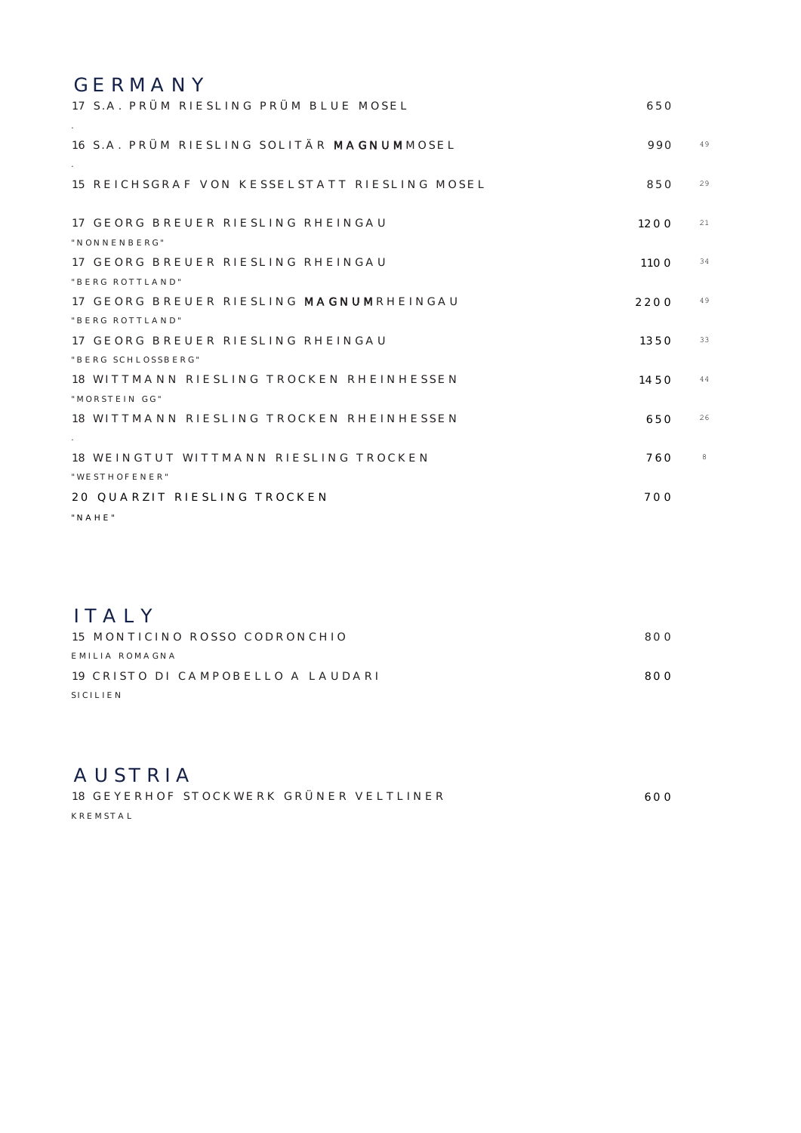### GERMANY

| 17 S.A. PRÜM RIESLING PRÜM BLUE MOSEL                          | 650         |    |
|----------------------------------------------------------------|-------------|----|
| 16 S.A. PRÜM RIESLING SOLITÄR <b>MAGNUM</b> MOSEL              | 990         | 49 |
| 15 REICHSGRAF VON KESSELSTATT RIESLING MOSEL                   | 850         | 29 |
| 17 GEORG BREUER RIESLING RHEINGAU                              | 1200        | 21 |
| "NONNENBERG"<br>17 GEORG BREUER RIESLING RHEINGAU              | <b>1100</b> | 34 |
| "BERG ROTTLAND"<br>17 GEORG BREUER RIESLING MAGNUMRHEINGAU     | 2200        | 49 |
| "BERG ROTTLAND"<br>17 GEORG BREUER RIESLING RHEINGAU           | 1350        | 33 |
| "BERG SCHLOSSBERG"<br>18 WITTMANN RIESLING TROCKEN RHEINHESSEN | 1450        | 44 |
| "MORSTEIN GG"<br>18 WITTMANN RIESLING TROCKEN RHEINHESSEN      | 650         | 26 |
| 18 WEINGTUT WITTMANN RIESLING TROCKEN                          | 760         | 8  |
| "WESTHOFENER"<br>20 OUARZIT RIESLING TROCKEN                   | 700         |    |
| "NAHE"                                                         |             |    |

### ITALY

| 15 MONTICINO ROSSO CODRONCHIO     | റെ |
|-----------------------------------|----|
| EMILIA ROMAGNA                    |    |
| 19 CRISTO DI CAMPOBELLO A LAUDARI | റെ |
| SICILIEN                          |    |

### AUSTRIA

18 GEYERHOF STOCKWERK GRÜNER VELTLINER 600 KREMSTAL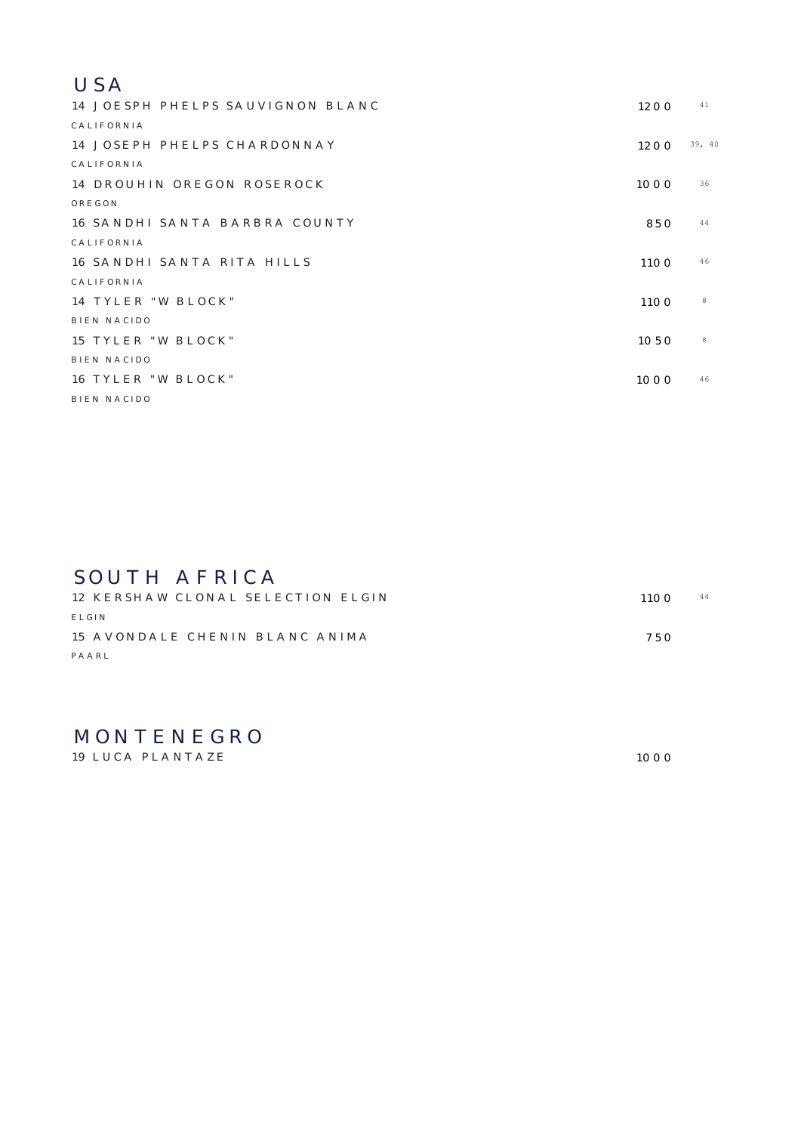#### USA

| 14 JOESPH PHELPS SAUVIGNON BLANC | 1200        | 41     |
|----------------------------------|-------------|--------|
| CALIFORNIA                       |             |        |
| 14 JOSEPH PHELPS CHARDONNAY      | 1200        | 39, 40 |
| CALIFORNIA                       |             |        |
| 14 DROUHIN OREGON ROSEROCK       | 1000        | 36     |
| <b>ORE GON</b>                   |             |        |
| 16 SANDHI SANTA BARBRA COUNTY    | 850         | 44     |
| CALIFORNIA                       |             |        |
| 16 SANDHI SANTA RITA HILLS       | <b>1100</b> | 46     |
| CALIFORNIA                       |             |        |
| 14 TYLER "W BLOCK"               | <b>1100</b> | 8      |
| <b>BIEN NACIDO</b>               |             |        |
| 15 TYLER "W BLOCK"               | 1050        | 8      |
| <b>BIEN NACIDO</b>               |             |        |
| 16 TYLER "W BLOCK"               | 1000        | 46     |
| <b>BIEN NACIDO</b>               |             |        |

### SOUTH AFRICA

| 12 KERSHAW CLONAL SELECTION ELGIN | 11ററ | 44 |
|-----------------------------------|------|----|
| FLGIN                             |      |    |
| 15 AVONDALE CHENIN BLANC ANIMA    | 750  |    |
| PAARL                             |      |    |

#### MONTENEGRO

19 LUCA PLANTAZE 1000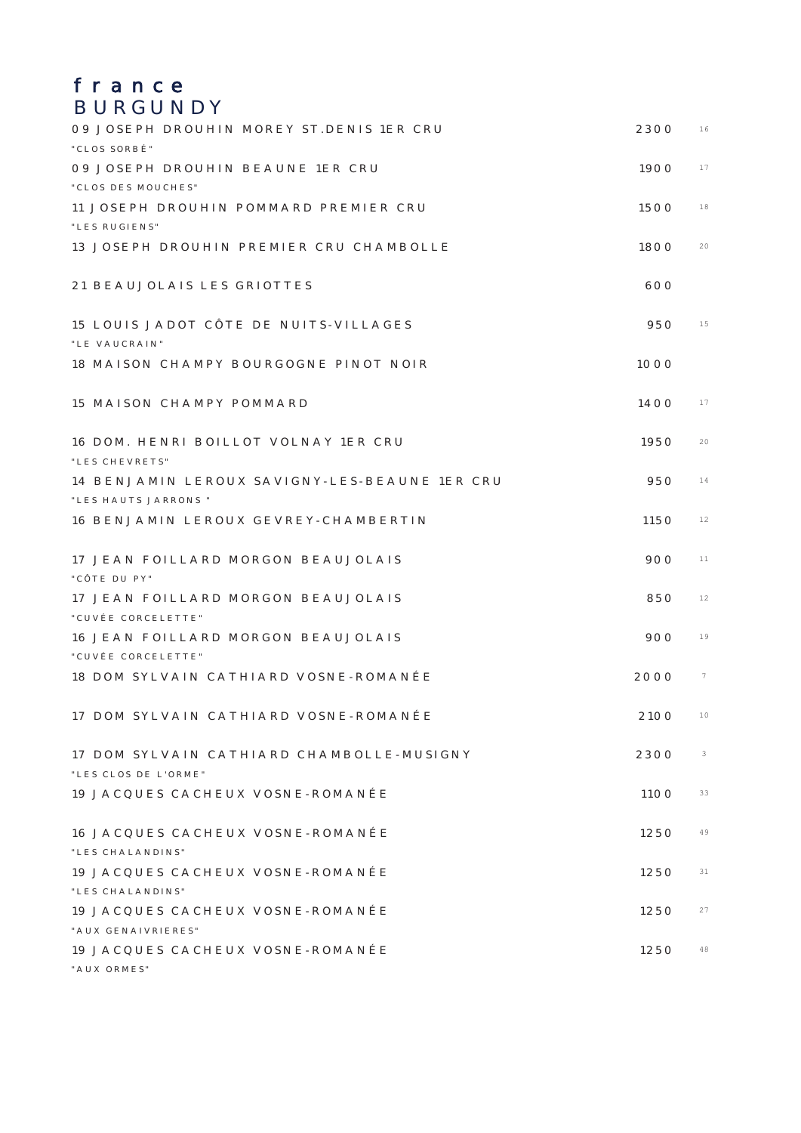### france BURGUNDY

| 09 JOSEPH DROUHIN MOREY ST. DENIS 1ER CRU                             | 2300        | 16              |
|-----------------------------------------------------------------------|-------------|-----------------|
| "CLOS SORBÉ"<br>09 JOSEPH DROUHIN BEAUNE 1ER CRU                      | 1900        | 17              |
| "CLOS DES MOUCHES"                                                    |             |                 |
| 11 JOSEPH DROUHIN POMMARD PREMIER CRU                                 | 1500        | 18              |
| "LES RUGIENS"                                                         |             |                 |
| 13 JOSEPH DROUHIN PREMIER CRU CHAMBOLLE                               | <b>1800</b> | 20              |
| 21 BEAUJOLAIS LES GRIOTTES                                            | 600         |                 |
| 15 LOUIS JADOT CÔTE DE NUITS-VILLAGES                                 | 95O         | 15              |
| "LE VAUCRAIN"                                                         |             |                 |
| 18 MAISON CHAMPY BOURGOGNE PINOT NOIR                                 | 1000        |                 |
| 15 MAISON CHAMPY POMMARD                                              | 1400        | 17              |
| 16 DOM. HENRI BOILLOT VOLNAY 1ER CRU                                  | <b>1950</b> | 20              |
| "LES CHEVRETS"                                                        |             |                 |
| 14 BENJAMIN LEROUX SAVIGNY-LES-BEAUNE 1ER CRU<br>"LES HAUTS JARRONS " | 95O         | 14              |
| 16 BENJAMIN LEROUX GEVREY-CHAMBERTIN                                  | 115O        | 12              |
|                                                                       |             |                 |
| 17 JEAN FOILLARD MORGON BEAUJOLAIS<br>"CÔTE DU PY"                    | 900         | 11              |
| 17 JEAN FOILLARD MORGON BEAUJOLAIS<br>"CUVÉE CORCELETTE"              | 85O         | $12$            |
| 16 JEAN FOILLARD MORGON BEAUJOLAIS                                    | 900         | 19              |
| "CUVÉE CORCELETTE"                                                    |             |                 |
| 18 DOM SYLVAIN CATHIARD VOSNE-ROMANÉE                                 | 2000        | $7\phantom{.0}$ |
| 17 DOM SYLVAIN CATHIARD VOSNE-ROMANEE                                 | 2100        | $10$            |
| 17 DOM SYLVAIN CATHIARD CHAMBOLLE-MUSIGNY                             | 2300        | 3               |
| "LES CLOS DE L'ORME"                                                  |             |                 |
| 19 JACQUES CACHEUX VOSNE-ROMANÉE                                      | 11OO        | 33              |
| 16 JACQUES CACHEUX VOSNE-ROMANÉE                                      | 1250        | 49              |
| "LES CHALANDINS"                                                      |             |                 |
| 19 JACOUES CACHEUX VOSNE-ROMANÉE<br>"LES CHALANDINS"                  | 1250        | 31              |
| 19 JACQUES CACHEUX VOSNE-ROMANÉE                                      | 1250        | 27              |
| "AUX GENAIVRIERES"                                                    |             |                 |
| 19 JACQUES CACHEUX VOSNE-ROMANÉE                                      | 1250        | 48              |
| "AUX ORMES"                                                           |             |                 |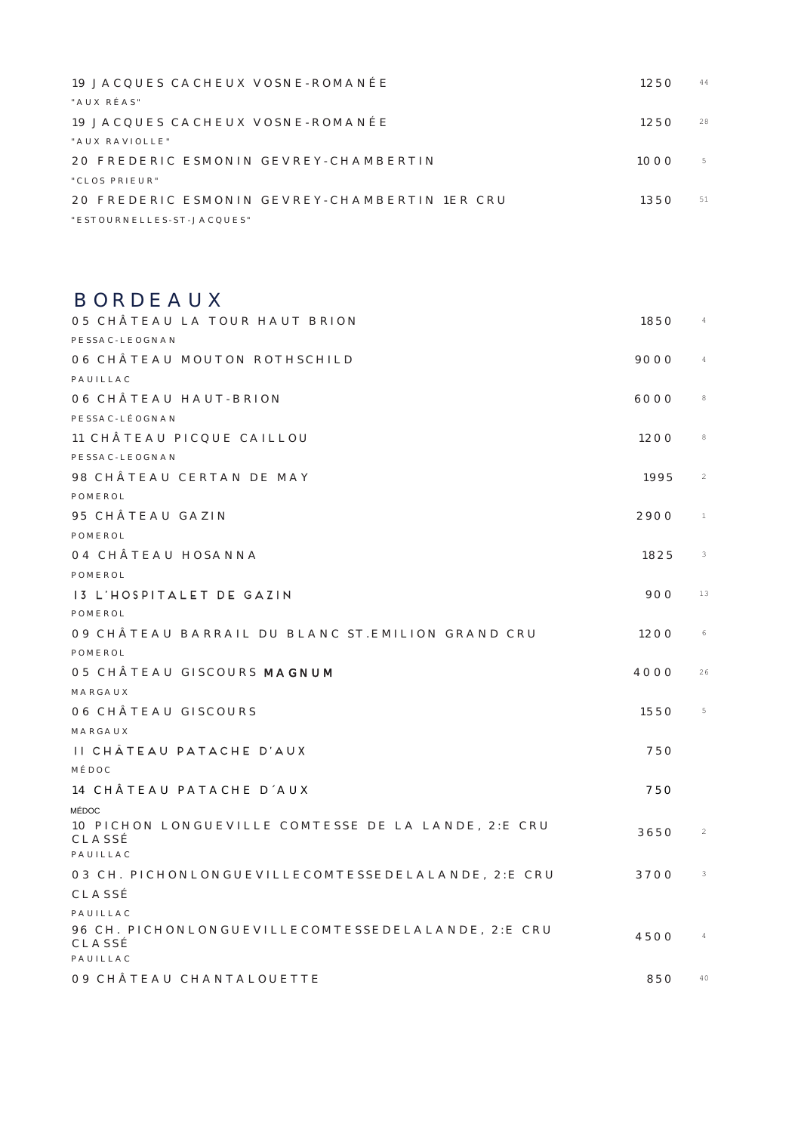| 19 JACOUES CACHEUX VOSNE-ROMANÉE              | 1250  | 44 |
|-----------------------------------------------|-------|----|
| "AUX RÉAS"                                    |       |    |
| 19 JACOUES CACHEUX VOSNE-ROMANÉE              | 1250  | 28 |
| "AUX RAVIOLLE"                                |       |    |
| 20 FREDERIC ESMONIN GEVREY-CHAMBERTIN         | 1000  | 5  |
| "CLOS PRIFUR"                                 |       |    |
| 20 FREDERIC ESMONIN GEVREY-CHAMBERTIN 1ER CRU | 1350. | 51 |
| "ESTOURNELLES-ST-JACQUES"                     |       |    |

### BORDEAUX

| O5 CHÂTEAU LA TOUR HAUT BRION                                            | 1850 | $\overline{4}$ |
|--------------------------------------------------------------------------|------|----------------|
| PESSAC-LEOGNAN                                                           |      |                |
| 06 CHÂTEAU MOUTON ROTHSCHILD                                             | 9000 | 4              |
| PAUILLAC                                                                 |      |                |
| 06 CHÂTEAU HAUT-BRION                                                    | 6000 | 8              |
| PESSAC-LÉOGNAN                                                           |      |                |
| 11 CHÂTEAU PICQUE CAILLOU                                                | 1200 | 8              |
| PESSAC-LEOGNAN                                                           |      |                |
| 98 CHÂTEAU CERTAN DE MAY                                                 | 1995 | 2              |
| POME ROL                                                                 |      |                |
| 95 CHÂTEAU GAZIN                                                         | 2900 | $\mathbf{1}$   |
| POME ROL                                                                 |      |                |
| 04 CHÂTEAU HOSANNA                                                       | 1825 | 3              |
| POME ROL                                                                 |      |                |
| 13 L'HOSPITALET DE GAZIN                                                 | 900  | 13             |
| POME ROL                                                                 |      |                |
| 09 CHÂTEAU BARRAIL DU BLANC ST.EMILION GRAND CRU                         | 1200 | 6              |
| POME ROL                                                                 |      |                |
| O5 CHÂTEAU GISCOURS MAGNUM                                               | 4000 | 26             |
| <b>MARGAUX</b>                                                           |      |                |
| 06 CHÂTEAU GISCOURS                                                      | 1550 | 5              |
| <b>MARGAUX</b>                                                           |      |                |
| II CHATEAU PATACHE D'AUX                                                 | 750  |                |
| MÉ DOC                                                                   |      |                |
| 14 CHÂTEAU PATACHE D'AUX                                                 | 750  |                |
| <b>MÉDOC</b>                                                             |      |                |
| 10 PICHON LONGUEVILLE COMTESSE DE LA LANDE, 2:E CRU<br>CLA SSÉ           | 3650 | $\overline{c}$ |
| PAUILLAC                                                                 |      |                |
| 03 CH. PICHONLONGUEVILLECOMTESSEDELALANDE, 2:E CRU                       | 3700 | 3              |
| <b>CLASSÉ</b>                                                            |      |                |
| PAUILLAC                                                                 |      |                |
| 96 CH. PICHONLONGUEVILLECOMTESSEDELALANDE, 2:E CRU<br>CLASSÉ<br>PAUILLAC | 4500 | 4              |
| 09 CHÂTEAU CHANTALOUETTE                                                 | 850  | 40             |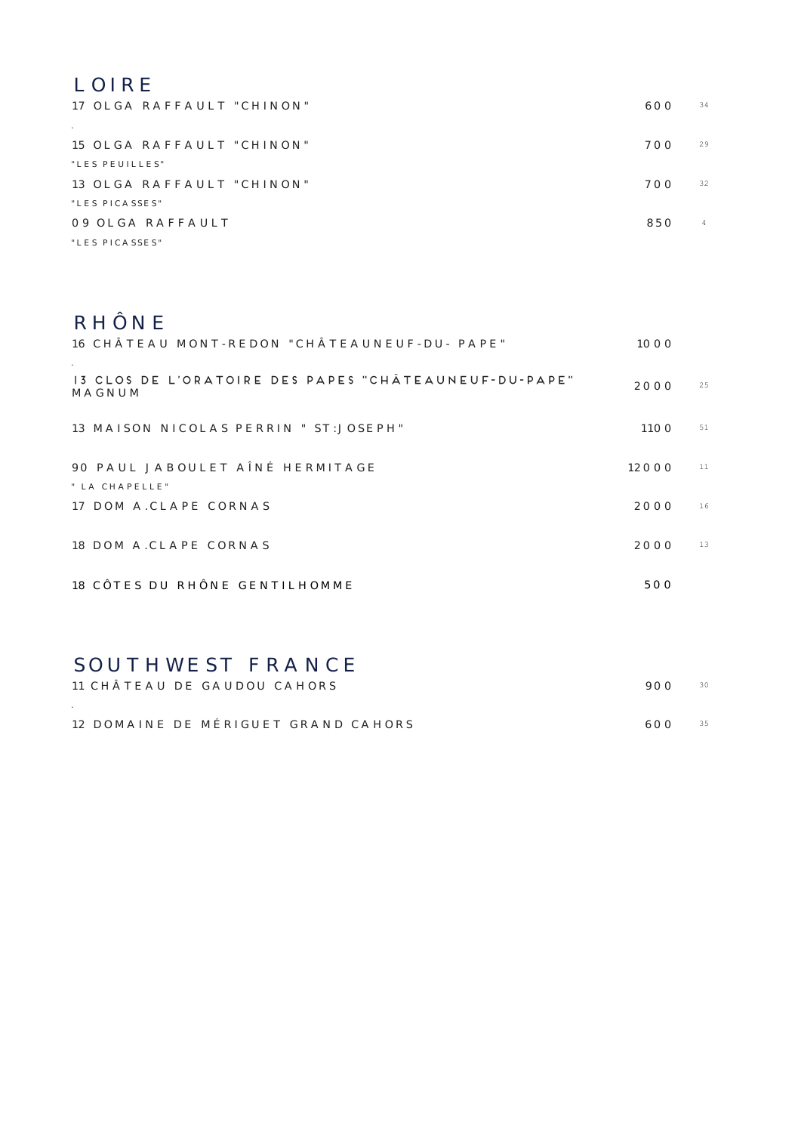## LOIRE

| 17 OLGA RAFFAULT "CHINON" | 600 | 34 |
|---------------------------|-----|----|
|                           |     |    |
| 15 OLGA RAFFAULT "CHINON" | 700 | 29 |
| "LES PEUILLES"            |     |    |
| 13 OLGA RAFFAULT "CHINON" | 700 | 32 |
| "LES PICASSES"            |     |    |
| 09 OLGA RAFFAULT          | 850 | 4  |
| "LES PICASSES"            |     |    |

## RHÔNE

| 16 CHATEAU MONT-REDON "CHATEAUNEUF-DU- PAPE"                           | 1000              |    |
|------------------------------------------------------------------------|-------------------|----|
| I3 CLOS DE L'ORATOIRE DES PAPES "CHÂTEAUNEUF-DU-PAPE"<br><b>MAGNUM</b> | 2000              | 25 |
| 13 MAISON NICOLAS PERRIN "ST:JOSEPH"                                   | 11 <sub>O</sub> O | 51 |
| 90 PAUL JABOULET AÎNÉ HERMITAGE<br>" LA CHAPELLE"                      | 12000             | 11 |
| 17 DOM A.CLAPE CORNAS                                                  | 2000              | 16 |
| 18 DOM A CLAPE CORNAS                                                  | 2000              | 13 |
| 18 CÔTES DU RHÔNE GENTILHOMME                                          | 500               |    |

### SOUTHWEST FRANCE

| 11 CHÂTEAU DE GAUDOU CAHORS         | 900- | 30 |
|-------------------------------------|------|----|
|                                     |      |    |
| 12 DOMAINE DE MÉRIGUET GRAND CAHORS | 600  | 35 |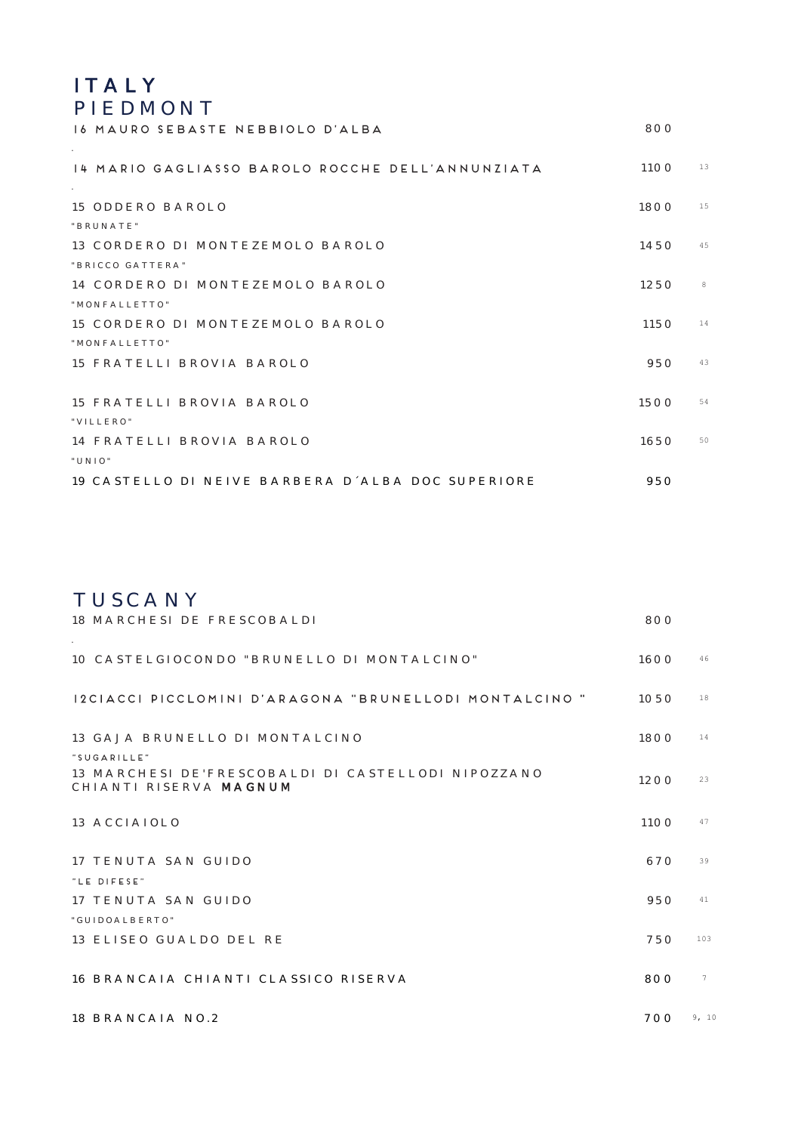### ITALY PIEDMONT

| 16 MAURO SEBASTE NEBBIOLO D'ALBA                  | 800         |    |
|---------------------------------------------------|-------------|----|
| 14 MARIO GAGLIASSO BAROLO ROCCHE DELL'ANNUNZIATA  | <b>1100</b> | 13 |
| 15 ODDERO BAROLO                                  | 1800        | 15 |
| "BRUNATE"                                         |             |    |
| 13 CORDERO DI MONTEZEMOLO BAROLO                  | 1450        | 45 |
| "BRICCO GATTERA"                                  |             |    |
| 14 CORDERO DI MONTEZEMOLO BAROLO                  | 1250        | 8  |
| "MONFALLETTO"                                     |             |    |
| 15 CORDERO DI MONTEZEMOLO BAROLO                  | <b>1150</b> | 14 |
| "MONFALLFTTO"                                     |             |    |
| 15 FRATELLI BROVIA BAROLO                         | 950         | 43 |
|                                                   |             |    |
| 15 FRATELLI BROVIA BAROLO                         | 1500        | 54 |
| "VILLERO"                                         |             |    |
| 14 FRATELLI BROVIA BAROLO                         | 1650        | 50 |
| "UNIO"                                            |             |    |
| 19 CASTELLO DI NEIVE BARBERA D'ALBA DOC SUPERIORE | 950         |    |

#### **TUSCANY**

| 18 MARCHESI DE FRESCOBALDI                                                   | 800         |                 |
|------------------------------------------------------------------------------|-------------|-----------------|
| 10 CASTELGIOCONDO "BRUNELLO DI MONTALCINO"                                   | 1600        | 46              |
| I2CIACCI PICCLOMINI D'ARAGONA "BRUNELLODI MONTALCINO"                        | 1050        | 18              |
| 13 GAJA BRUNELLO DI MONTALCINO<br>"SUGARILLE"                                | 1800        | 14              |
| 13 MARCHESI DE'FRESCOBALDI DI CASTELLODI NIPOZZANO<br>CHIANTI RISERVA MAGNUM | 1200        | 23              |
| 13 ACCIAIOLO                                                                 | <b>1100</b> | 47              |
| 17 TENUTA SAN GUIDO<br>"LE DIFESE"                                           | 670         | 39              |
| 17 TENUTA SAN GUIDO<br>"GUIDOALBERTO"                                        | 950         | 41              |
| 13 ELISEO GUALDO DEL RE                                                      | 750         | 103             |
| 16 BRANCAIA CHIANTI CLASSICO RISERVA                                         | 800         | $7\overline{ }$ |
| 18 BRANCAIA NO.2                                                             | 700         | 9, 10           |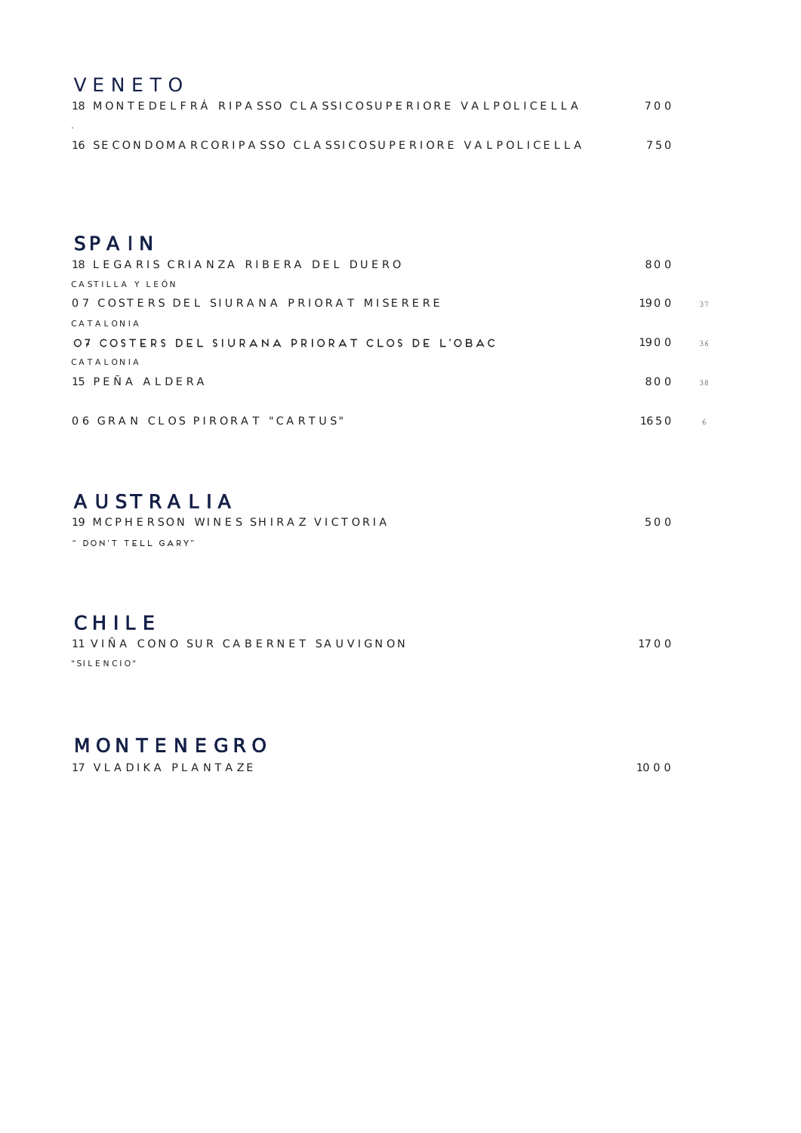#### VENETO

| 18 MONTE DELFRÁ RIPASSO CLASSICOSUPERIORE VALPOLICELLA | 700- |
|--------------------------------------------------------|------|
|                                                        |      |
|                                                        |      |

16 SECONDOMARCORIPASSO CLASSICOSUPERIORE VALPOLICELLA 750

### SPAIN

| 18 LEGARIS CRIANZA RIBERA DEL DUERO           | 800  |    |
|-----------------------------------------------|------|----|
| CASTILLA Y LEÓN                               |      |    |
| O7 COSTERS DEL SIURANA PRIORAT MISERERE       | 1900 | 37 |
| CATALONIA                                     |      |    |
| O7 COSTERS DEL SIURANA PRIORAT CLOS DE L'OBAC | 1900 | 36 |
| CATALONIA                                     |      |    |
| 15 PEÑA ALDERA                                | 800  | 38 |
|                                               |      |    |
| 06 GRAN CLOS PIRORAT "CARTUS"                 | 1650 |    |

### AUSTRALIA

| 19 MCPHERSON WINES SHIRAZ VICTORIA | 500. |
|------------------------------------|------|
| " DON'T TELL GARY"                 |      |

### CHILE

| 11 VIÑA CONO SUR CABERNET SAUVIGNON | 1700 |
|-------------------------------------|------|
| "SILENCIO"                          |      |

### MONTENEGRO

17 VLADIKA PLANTAZE 1000